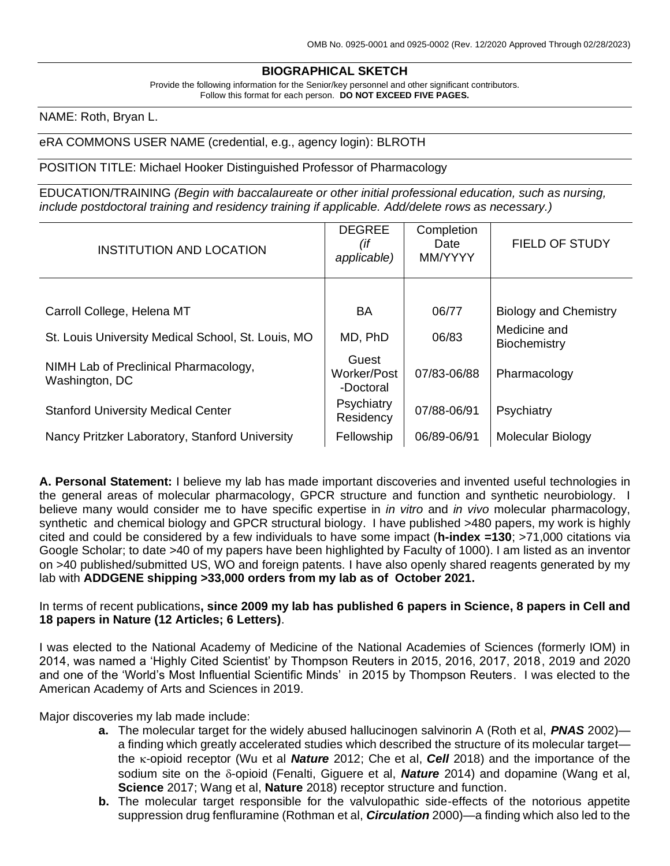# **BIOGRAPHICAL SKETCH**

Provide the following information for the Senior/key personnel and other significant contributors. Follow this format for each person. **DO NOT EXCEED FIVE PAGES.**

NAME: Roth, Bryan L.

#### eRA COMMONS USER NAME (credential, e.g., agency login): BLROTH

POSITION TITLE: Michael Hooker Distinguished Professor of Pharmacology

EDUCATION/TRAINING *(Begin with baccalaureate or other initial professional education, such as nursing, include postdoctoral training and residency training if applicable. Add/delete rows as necessary.)*

| <b>INSTITUTION AND LOCATION</b>                         | <b>DEGREE</b><br>(if<br>applicable) | Completion<br>Date<br>MM/YYYY | <b>FIELD OF STUDY</b>        |
|---------------------------------------------------------|-------------------------------------|-------------------------------|------------------------------|
|                                                         |                                     |                               |                              |
| Carroll College, Helena MT                              | BA                                  | 06/77                         | <b>Biology and Chemistry</b> |
| St. Louis University Medical School, St. Louis, MO      | MD, PhD                             | 06/83                         | Medicine and<br>Biochemistry |
| NIMH Lab of Preclinical Pharmacology,<br>Washington, DC | Guest<br>Worker/Post<br>-Doctoral   | 07/83-06/88                   | Pharmacology                 |
| <b>Stanford University Medical Center</b>               | Psychiatry<br>Residency             | 07/88-06/91                   | Psychiatry                   |
| Nancy Pritzker Laboratory, Stanford University          | Fellowship                          | 06/89-06/91                   | Molecular Biology            |

**A. Personal Statement:** I believe my lab has made important discoveries and invented useful technologies in the general areas of molecular pharmacology, GPCR structure and function and synthetic neurobiology. I believe many would consider me to have specific expertise in *in vitro* and *in vivo* molecular pharmacology, synthetic and chemical biology and GPCR structural biology. I have published >480 papers, my work is highly cited and could be considered by a few individuals to have some impact (**h-index =130**; >71,000 citations via Google Scholar; to date >40 of my papers have been highlighted by Faculty of 1000). I am listed as an inventor on >40 published/submitted US, WO and foreign patents. I have also openly shared reagents generated by my lab with **ADDGENE shipping >33,000 orders from my lab as of October 2021.**

#### In terms of recent publications**, since 2009 my lab has published 6 papers in Science, 8 papers in Cell and 18 papers in Nature (12 Articles; 6 Letters)**.

I was elected to the National Academy of Medicine of the National Academies of Sciences (formerly IOM) in 2014, was named a 'Highly Cited Scientist' by Thompson Reuters in 2015, 2016, 2017, 2018, 2019 and 2020 and one of the 'World's Most Influential Scientific Minds' in 2015 by Thompson Reuters. I was elected to the American Academy of Arts and Sciences in 2019.

Major discoveries my lab made include:

- **a.** The molecular target for the widely abused hallucinogen salvinorin A (Roth et al, *PNAS* 2002) a finding which greatly accelerated studies which described the structure of its molecular target the  $\kappa$ -opioid receptor (Wu et al **Nature** 2012; Che et al, **Cell** 2018) and the importance of the sodium site on the  $\delta$ -opioid (Fenalti, Giguere et al, **Nature** 2014) and dopamine (Wang et al, **Science** 2017; Wang et al, **Nature** 2018) receptor structure and function.
- **b.** The molecular target responsible for the valvulopathic side-effects of the notorious appetite suppression drug fenfluramine (Rothman et al, *Circulation* 2000)—a finding which also led to the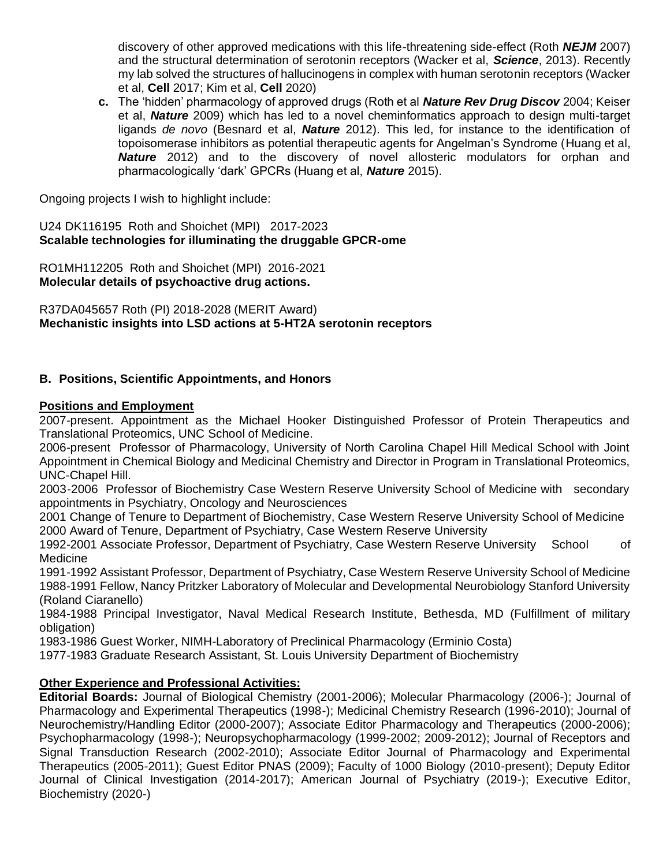discovery of other approved medications with this life-threatening side-effect (Roth *NEJM* 2007) and the structural determination of serotonin receptors (Wacker et al, *Science*, 2013). Recently my lab solved the structures of hallucinogens in complex with human serotonin receptors (Wacker et al, **Cell** 2017; Kim et al, **Cell** 2020)

**c.** The 'hidden' pharmacology of approved drugs (Roth et al *Nature Rev Drug Discov* 2004; Keiser et al, *Nature* 2009) which has led to a novel cheminformatics approach to design multi-target ligands *de novo* (Besnard et al, *Nature* 2012). This led, for instance to the identification of topoisomerase inhibitors as potential therapeutic agents for Angelman's Syndrome (Huang et al, *Nature* 2012) and to the discovery of novel allosteric modulators for orphan and pharmacologically 'dark' GPCRs (Huang et al, *Nature* 2015).

Ongoing projects I wish to highlight include:

U24 DK116195 Roth and Shoichet (MPI) 2017-2023 **Scalable technologies for illuminating the druggable GPCR-ome**

RO1MH112205 Roth and Shoichet (MPI) 2016-2021 **Molecular details of psychoactive drug actions.**

R37DA045657 Roth (PI) 2018-2028 (MERIT Award) **Mechanistic insights into LSD actions at 5-HT2A serotonin receptors**

# **B. Positions, Scientific Appointments, and Honors**

### **Positions and Employment**

2007-present. Appointment as the Michael Hooker Distinguished Professor of Protein Therapeutics and Translational Proteomics, UNC School of Medicine.

2006-present Professor of Pharmacology, University of North Carolina Chapel Hill Medical School with Joint Appointment in Chemical Biology and Medicinal Chemistry and Director in Program in Translational Proteomics, UNC-Chapel Hill.

2003-2006 Professor of Biochemistry Case Western Reserve University School of Medicine with secondary appointments in Psychiatry, Oncology and Neurosciences

2001 Change of Tenure to Department of Biochemistry, Case Western Reserve University School of Medicine 2000 Award of Tenure, Department of Psychiatry, Case Western Reserve University

1992-2001 Associate Professor, Department of Psychiatry, Case Western Reserve University School of Medicine

1991-1992 Assistant Professor, Department of Psychiatry, Case Western Reserve University School of Medicine 1988-1991 Fellow, Nancy Pritzker Laboratory of Molecular and Developmental Neurobiology Stanford University (Roland Ciaranello)

1984-1988 Principal Investigator, Naval Medical Research Institute, Bethesda, MD (Fulfillment of military obligation)

1983-1986 Guest Worker, NIMH-Laboratory of Preclinical Pharmacology (Erminio Costa)

1977-1983 Graduate Research Assistant, St. Louis University Department of Biochemistry

### **Other Experience and Professional Activities:**

**Editorial Boards:** Journal of Biological Chemistry (2001-2006); Molecular Pharmacology (2006-); Journal of Pharmacology and Experimental Therapeutics (1998-); Medicinal Chemistry Research (1996-2010); Journal of Neurochemistry/Handling Editor (2000-2007); Associate Editor Pharmacology and Therapeutics (2000-2006); Psychopharmacology (1998-); Neuropsychopharmacology (1999-2002; 2009-2012); Journal of Receptors and Signal Transduction Research (2002-2010); Associate Editor Journal of Pharmacology and Experimental Therapeutics (2005-2011); Guest Editor PNAS (2009); Faculty of 1000 Biology (2010-present); Deputy Editor Journal of Clinical Investigation (2014-2017); American Journal of Psychiatry (2019-); Executive Editor, Biochemistry (2020-)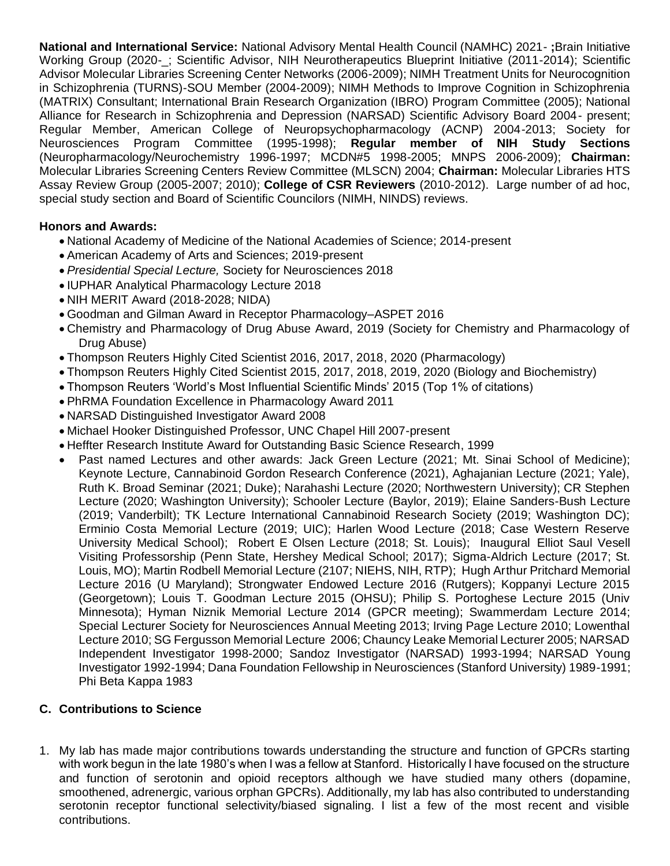**National and International Service:** National Advisory Mental Health Council (NAMHC) 2021- **;**Brain Initiative Working Group (2020-\_; Scientific Advisor, NIH Neurotherapeutics Blueprint Initiative (2011-2014); Scientific Advisor Molecular Libraries Screening Center Networks (2006-2009); NIMH Treatment Units for Neurocognition in Schizophrenia (TURNS)-SOU Member (2004-2009); NIMH Methods to Improve Cognition in Schizophrenia (MATRIX) Consultant; International Brain Research Organization (IBRO) Program Committee (2005); National Alliance for Research in Schizophrenia and Depression (NARSAD) Scientific Advisory Board 2004- present; Regular Member, American College of Neuropsychopharmacology (ACNP) 2004-2013; Society for Neurosciences Program Committee (1995-1998); **Regular member of NIH Study Sections**  (Neuropharmacology/Neurochemistry 1996-1997; MCDN#5 1998-2005; MNPS 2006-2009); **Chairman:** Molecular Libraries Screening Centers Review Committee (MLSCN) 2004; **Chairman:** Molecular Libraries HTS Assay Review Group (2005-2007; 2010); **College of CSR Reviewers** (2010-2012). Large number of ad hoc, special study section and Board of Scientific Councilors (NIMH, NINDS) reviews.

# **Honors and Awards:**

- National Academy of Medicine of the National Academies of Science; 2014-present
- American Academy of Arts and Sciences; 2019-present
- *Presidential Special Lecture,* Society for Neurosciences 2018
- IUPHAR Analytical Pharmacology Lecture 2018
- NIH MERIT Award (2018-2028; NIDA)
- Goodman and Gilman Award in Receptor Pharmacology–ASPET 2016
- Chemistry and Pharmacology of Drug Abuse Award, 2019 (Society for Chemistry and Pharmacology of Drug Abuse)
- Thompson Reuters Highly Cited Scientist 2016, 2017, 2018, 2020 (Pharmacology)
- Thompson Reuters Highly Cited Scientist 2015, 2017, 2018, 2019, 2020 (Biology and Biochemistry)
- Thompson Reuters 'World's Most Influential Scientific Minds' 2015 (Top 1% of citations)
- PhRMA Foundation Excellence in Pharmacology Award 2011
- NARSAD Distinguished Investigator Award 2008
- Michael Hooker Distinguished Professor, UNC Chapel Hill 2007-present
- Heffter Research Institute Award for Outstanding Basic Science Research, 1999
- Past named Lectures and other awards: Jack Green Lecture (2021; Mt. Sinai School of Medicine); Keynote Lecture, Cannabinoid Gordon Research Conference (2021), Aghajanian Lecture (2021; Yale), Ruth K. Broad Seminar (2021; Duke); Narahashi Lecture (2020; Northwestern University); CR Stephen Lecture (2020; Washington University); Schooler Lecture (Baylor, 2019); Elaine Sanders-Bush Lecture (2019; Vanderbilt); TK Lecture International Cannabinoid Research Society (2019; Washington DC); Erminio Costa Memorial Lecture (2019; UIC); Harlen Wood Lecture (2018; Case Western Reserve University Medical School); Robert E Olsen Lecture (2018; St. Louis); Inaugural Elliot Saul Vesell Visiting Professorship (Penn State, Hershey Medical School; 2017); Sigma-Aldrich Lecture (2017; St. Louis, MO); Martin Rodbell Memorial Lecture (2107; NIEHS, NIH, RTP); Hugh Arthur Pritchard Memorial Lecture 2016 (U Maryland); Strongwater Endowed Lecture 2016 (Rutgers); Koppanyi Lecture 2015 (Georgetown); Louis T. Goodman Lecture 2015 (OHSU); Philip S. Portoghese Lecture 2015 (Univ Minnesota); Hyman Niznik Memorial Lecture 2014 (GPCR meeting); Swammerdam Lecture 2014; Special Lecturer Society for Neurosciences Annual Meeting 2013; Irving Page Lecture 2010; Lowenthal Lecture 2010; SG Fergusson Memorial Lecture 2006; Chauncy Leake Memorial Lecturer 2005; NARSAD Independent Investigator 1998-2000; Sandoz Investigator (NARSAD) 1993-1994; NARSAD Young Investigator 1992-1994; Dana Foundation Fellowship in Neurosciences (Stanford University) 1989-1991; Phi Beta Kappa 1983

### **C. Contributions to Science**

1. My lab has made major contributions towards understanding the structure and function of GPCRs starting with work begun in the late 1980's when I was a fellow at Stanford. Historically I have focused on the structure and function of serotonin and opioid receptors although we have studied many others (dopamine, smoothened, adrenergic, various orphan GPCRs). Additionally, my lab has also contributed to understanding serotonin receptor functional selectivity/biased signaling. I list a few of the most recent and visible contributions.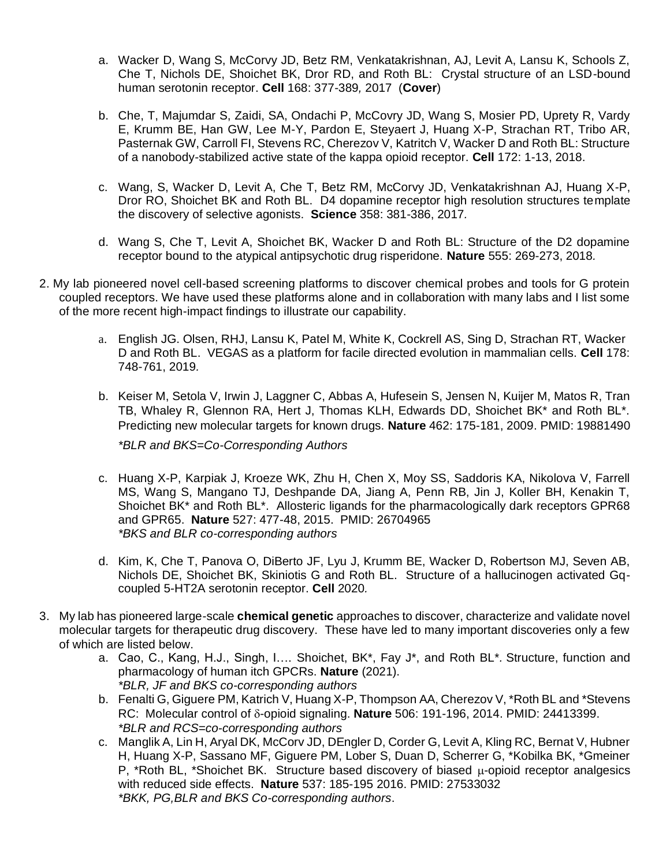- a. Wacker D, Wang S, McCorvy JD, Betz RM, Venkatakrishnan, AJ, Levit A, Lansu K, Schools Z, Che T, Nichols DE, Shoichet BK, Dror RD, and Roth BL: Crystal structure of an LSD-bound human serotonin receptor. **Cell** 168: 377-389*,* 2017 (**Cover**)
- b. Che, T, Majumdar S, Zaidi, SA, Ondachi P, McCovry JD, Wang S, Mosier PD, Uprety R, Vardy E, Krumm BE, Han GW, Lee M-Y, Pardon E, Steyaert J, Huang X-P, Strachan RT, Tribo AR, Pasternak GW, Carroll FI, Stevens RC, Cherezov V, Katritch V, Wacker D and Roth BL: Structure of a nanobody-stabilized active state of the kappa opioid receptor. **Cell** 172: 1-13, 2018.
- c. Wang, S, Wacker D, Levit A, Che T, Betz RM, McCorvy JD, Venkatakrishnan AJ, Huang X-P, Dror RO, Shoichet BK and Roth BL. D4 dopamine receptor high resolution structures template the discovery of selective agonists. **Science** 358: 381-386, 2017*.*
- d. Wang S, Che T, Levit A, Shoichet BK, Wacker D and Roth BL: Structure of the D2 dopamine receptor bound to the atypical antipsychotic drug risperidone. **Nature** 555: 269-273, 2018*.*
- 2. My lab pioneered novel cell-based screening platforms to discover chemical probes and tools for G protein coupled receptors. We have used these platforms alone and in collaboration with many labs and I list some of the more recent high-impact findings to illustrate our capability.
	- a. English JG. Olsen, RHJ, Lansu K, Patel M, White K, Cockrell AS, Sing D, Strachan RT, Wacker D and Roth BL. VEGAS as a platform for facile directed evolution in mammalian cells. **Cell** 178: 748-761, 2019*.*
	- b. Keiser M, Setola V, Irwin J, Laggner C, Abbas A, Hufesein S, Jensen N, Kuijer M, Matos R, Tran TB, Whaley R, Glennon RA, Hert J, Thomas KLH, Edwards DD, Shoichet BK\* and Roth BL\*. Predicting new molecular targets for known drugs. **Nature** 462: 175-181, 2009. PMID: 19881490 *\*BLR and BKS=Co-Corresponding Authors*
	- c. Huang X-P, Karpiak J, Kroeze WK, Zhu H, Chen X, Moy SS, Saddoris KA, Nikolova V, Farrell MS, Wang S, Mangano TJ, Deshpande DA, Jiang A, Penn RB, Jin J, Koller BH, Kenakin T, Shoichet BK\* and Roth BL\*. Allosteric ligands for the pharmacologically dark receptors GPR68 and GPR65. **Nature** 527: 477-48, 2015. PMID: 26704965 *\*BKS and BLR co-corresponding authors*
	- d. Kim, K, Che T, Panova O, DiBerto JF, Lyu J, Krumm BE, Wacker D, Robertson MJ, Seven AB, Nichols DE, Shoichet BK, Skiniotis G and Roth BL. Structure of a hallucinogen activated Gqcoupled 5-HT2A serotonin receptor. **Cell** 2020*.*
- 3. My lab has pioneered large-scale **chemical genetic** approaches to discover, characterize and validate novel molecular targets for therapeutic drug discovery. These have led to many important discoveries only a few of which are listed below.
	- a. Cao, C., Kang, H.J., Singh, I…. Shoichet, BK\*, Fay J\*, and Roth BL\**.* Structure, function and pharmacology of human itch GPCRs. **Nature** (2021). *\*BLR, JF and BKS co-corresponding authors*
	- b. Fenalti G, Giguere PM, Katrich V, Huang X-P, Thompson AA, Cherezov V, \*Roth BL and \*Stevens RC: Molecular control of δ-opioid signaling. **Nature** 506: 191-196, 2014. PMID: 24413399. *\*BLR and RCS=co-corresponding authors*
	- c. Manglik A, Lin H, Aryal DK, McCorv JD, DEngler D, Corder G, Levit A, Kling RC, Bernat V, Hubner H, Huang X-P, Sassano MF, Giguere PM, Lober S, Duan D, Scherrer G, \*Kobilka BK, \*Gmeiner P, \*Roth BL, \*Shoichet BK. Structure based discovery of biased u-opioid receptor analgesics with reduced side effects. **Nature** 537: 185-195 2016. PMID: 27533032 *\*BKK, PG,BLR and BKS Co-corresponding authors*.